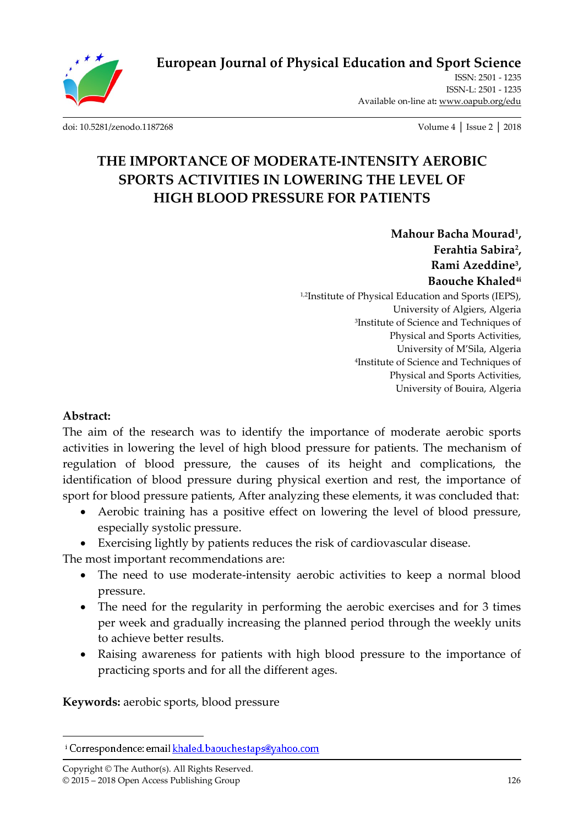**European Journal of Physical Education and Sport Science**

ISSN: 2501 - 1235 ISSN-L: 2501 - 1235 Available on-line at**:** www.oapub.org/edu

[doi: 10.5281/zenodo.1187268](http://dx.doi.org/10.5281/zenodo.1187268) Volume 4 │ Issue 2 │ 2018

# **THE IMPORTANCE OF MODERATE-INTENSITY AEROBIC SPORTS ACTIVITIES IN LOWERING THE LEVEL OF HIGH BLOOD PRESSURE FOR PATIENTS**

**Mahour Bacha Mourad<sup>1</sup> , Ferahtia Sabira<sup>2</sup> , Rami Azeddine<sup>3</sup> , Baouche Khaled4i** 1,2Institute of Physical Education and Sports (IEPS), University of Algiers, Algeria 3 Institute of Science and Techniques of Physical and Sports Activities, University of M'Sila, Algeria 4 Institute of Science and Techniques of Physical and Sports Activities, University of Bouira, Algeria

### **Abstract:**

 $\overline{a}$ 

The aim of the research was to identify the importance of moderate aerobic sports activities in lowering the level of high blood pressure for patients. The mechanism of regulation of blood pressure, the causes of its height and complications, the identification of blood pressure during physical exertion and rest, the importance of sport for blood pressure patients, After analyzing these elements, it was concluded that:

- Aerobic training has a positive effect on lowering the level of blood pressure, especially systolic pressure.
- Exercising lightly by patients reduces the risk of cardiovascular disease.

The most important recommendations are:

- The need to use moderate-intensity aerobic activities to keep a normal blood pressure.
- The need for the regularity in performing the aerobic exercises and for 3 times per week and gradually increasing the planned period through the weekly units to achieve better results.
- Raising awareness for patients with high blood pressure to the importance of practicing sports and for all the different ages.

**Keywords:** aerobic sports, blood pressure

Copyright © The Author(s). All Rights Reserved. © 2015 – 2018 Open Access Publishing Group 126

<sup>&</sup>lt;sup>i</sup> Correspondence: email khaled.baouchestaps@yahoo.com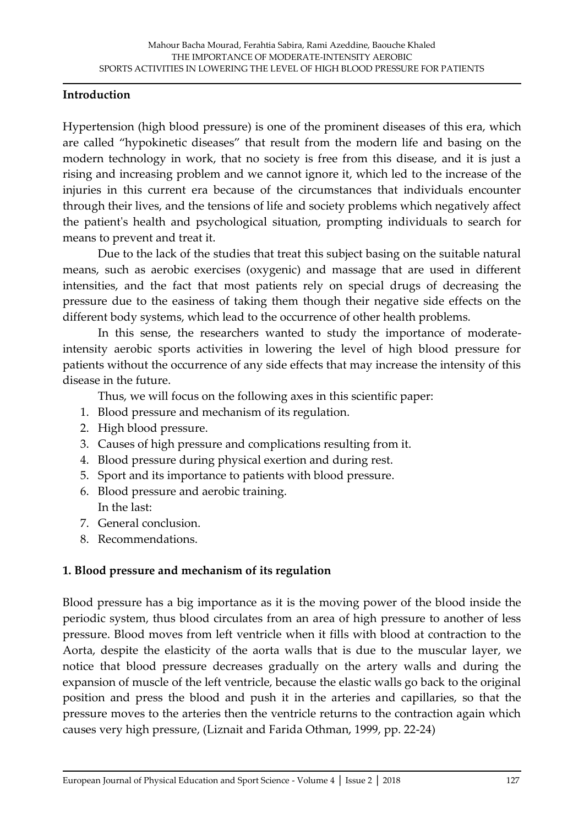#### **Introduction**

Hypertension (high blood pressure) is one of the prominent diseases of this era, which are called 'hypokinetic diseases' that result from the modern life and basing on the modern technology in work, that no society is free from this disease, and it is just a rising and increasing problem and we cannot ignore it, which led to the increase of the injuries in this current era because of the circumstances that individuals encounter through their lives, and the tensions of life and society problems which negatively affect the patient's health and psychological situation, prompting individuals to search for means to prevent and treat it.

Due to the lack of the studies that treat this subject basing on the suitable natural means, such as aerobic exercises (oxygenic) and massage that are used in different intensities, and the fact that most patients rely on special drugs of decreasing the pressure due to the easiness of taking them though their negative side effects on the different body systems, which lead to the occurrence of other health problems.

In this sense, the researchers wanted to study the importance of moderateintensity aerobic sports activities in lowering the level of high blood pressure for patients without the occurrence of any side effects that may increase the intensity of this disease in the future.

Thus, we will focus on the following axes in this scientific paper:

- 1. Blood pressure and mechanism of its regulation.
- 2. High blood pressure.
- 3. Causes of high pressure and complications resulting from it.
- 4. Blood pressure during physical exertion and during rest.
- 5. Sport and its importance to patients with blood pressure.
- 6. Blood pressure and aerobic training. In the last:
- 7. General conclusion.
- 8. Recommendations.

## **1. Blood pressure and mechanism of its regulation**

Blood pressure has a big importance as it is the moving power of the blood inside the periodic system, thus blood circulates from an area of high pressure to another of less pressure. Blood moves from left ventricle when it fills with blood at contraction to the Aorta, despite the elasticity of the aorta walls that is due to the muscular layer, we notice that blood pressure decreases gradually on the artery walls and during the expansion of muscle of the left ventricle, because the elastic walls go back to the original position and press the blood and push it in the arteries and capillaries, so that the pressure moves to the arteries then the ventricle returns to the contraction again which causes very high pressure, (Liznait and Farida Othman, 1999, pp. 22-24)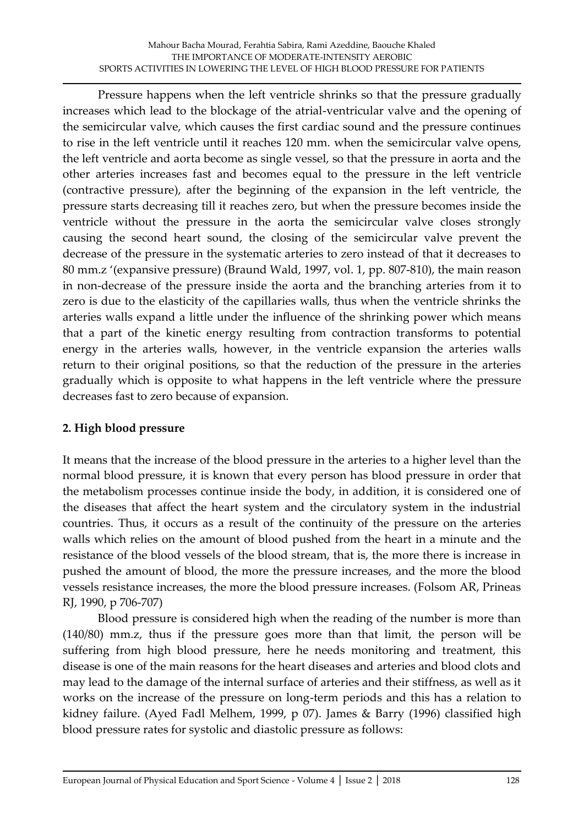Pressure happens when the left ventricle shrinks so that the pressure gradually increases which lead to the blockage of the atrial-ventricular valve and the opening of the semicircular valve, which causes the first cardiac sound and the pressure continues to rise in the left ventricle until it reaches 120 mm. when the semicircular valve opens, the left ventricle and aorta become as single vessel, so that the pressure in aorta and the other arteries increases fast and becomes equal to the pressure in the left ventricle (contractive pressure), after the beginning of the expansion in the left ventricle, the pressure starts decreasing till it reaches zero, but when the pressure becomes inside the ventricle without the pressure in the aorta the semicircular valve closes strongly causing the second heart sound, the closing of the semicircular valve prevent the decrease of the pressure in the systematic arteries to zero instead of that it decreases to 80 mm.z '(expansive pressure) (Braund Wald, 1997, vol. 1, pp. 807-810), the main reason in non-decrease of the pressure inside the aorta and the branching arteries from it to zero is due to the elasticity of the capillaries walls, thus when the ventricle shrinks the arteries walls expand a little under the influence of the shrinking power which means that a part of the kinetic energy resulting from contraction transforms to potential energy in the arteries walls, however, in the ventricle expansion the arteries walls return to their original positions, so that the reduction of the pressure in the arteries gradually which is opposite to what happens in the left ventricle where the pressure decreases fast to zero because of expansion.

# **2. High blood pressure**

It means that the increase of the blood pressure in the arteries to a higher level than the normal blood pressure, it is known that every person has blood pressure in order that the metabolism processes continue inside the body, in addition, it is considered one of the diseases that affect the heart system and the circulatory system in the industrial countries. Thus, it occurs as a result of the continuity of the pressure on the arteries walls which relies on the amount of blood pushed from the heart in a minute and the resistance of the blood vessels of the blood stream, that is, the more there is increase in pushed the amount of blood, the more the pressure increases, and the more the blood vessels resistance increases, the more the blood pressure increases. (Folsom AR, Prineas RJ, 1990, p 706-707)

Blood pressure is considered high when the reading of the number is more than (140/80) mm.z, thus if the pressure goes more than that limit, the person will be suffering from high blood pressure, here he needs monitoring and treatment, this disease is one of the main reasons for the heart diseases and arteries and blood clots and may lead to the damage of the internal surface of arteries and their stiffness, as well as it works on the increase of the pressure on long-term periods and this has a relation to kidney failure. (Ayed Fadl Melhem, 1999, p 07). James & Barry (1996) classified high blood pressure rates for systolic and diastolic pressure as follows: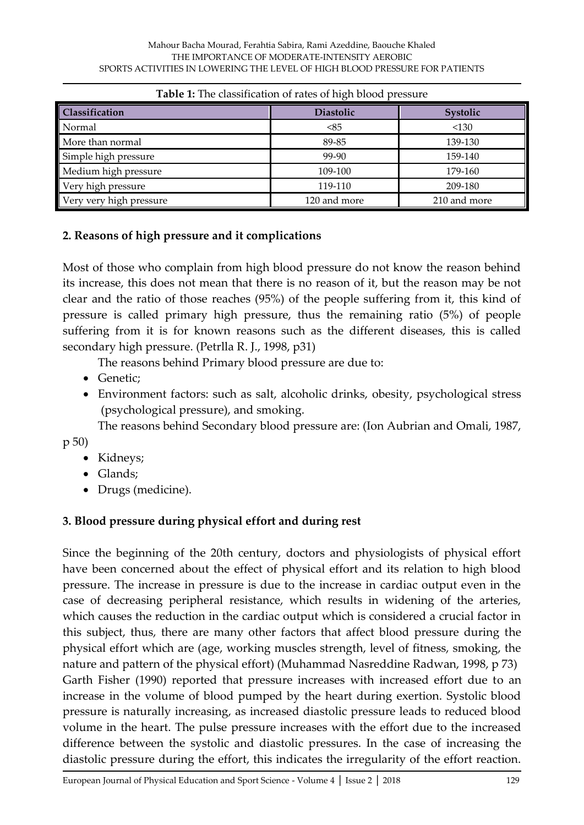| <b>Table 1.</b> The classification of fales of high blood pressure |                  |              |
|--------------------------------------------------------------------|------------------|--------------|
| Classification                                                     | <b>Diastolic</b> | Systolic     |
| Normal                                                             | < 85             | < 130        |
| More than normal                                                   | 89-85            | 139-130      |
| Simple high pressure                                               | 99-90            | 159-140      |
| Medium high pressure                                               | 109-100          | 179-160      |
| Very high pressure                                                 | 119-110          | 209-180      |
| Very very high pressure                                            | 120 and more     | 210 and more |

## **2. Reasons of high pressure and it complications**

Most of those who complain from high blood pressure do not know the reason behind its increase, this does not mean that there is no reason of it, but the reason may be not clear and the ratio of those reaches (95%) of the people suffering from it, this kind of pressure is called primary high pressure, thus the remaining ratio (5%) of people suffering from it is for known reasons such as the different diseases, this is called secondary high pressure. (Petrlla R. J., 1998, p31)

The reasons behind Primary blood pressure are due to:

- Genetic:
- Environment factors: such as salt, alcoholic drinks, obesity, psychological stress (psychological pressure), and smoking.

The reasons behind Secondary blood pressure are: (Ion Aubrian and Omali, 1987,

p 50)

- Kidneys:
- Glands;
- Drugs (medicine).

# **3. Blood pressure during physical effort and during rest**

Since the beginning of the 20th century, doctors and physiologists of physical effort have been concerned about the effect of physical effort and its relation to high blood pressure. The increase in pressure is due to the increase in cardiac output even in the case of decreasing peripheral resistance, which results in widening of the arteries, which causes the reduction in the cardiac output which is considered a crucial factor in this subject, thus, there are many other factors that affect blood pressure during the physical effort which are (age, working muscles strength, level of fitness, smoking, the nature and pattern of the physical effort) (Muhammad Nasreddine Radwan, 1998, p 73) Garth Fisher (1990) reported that pressure increases with increased effort due to an increase in the volume of blood pumped by the heart during exertion. Systolic blood pressure is naturally increasing, as increased diastolic pressure leads to reduced blood volume in the heart. The pulse pressure increases with the effort due to the increased difference between the systolic and diastolic pressures. In the case of increasing the diastolic pressure during the effort, this indicates the irregularity of the effort reaction.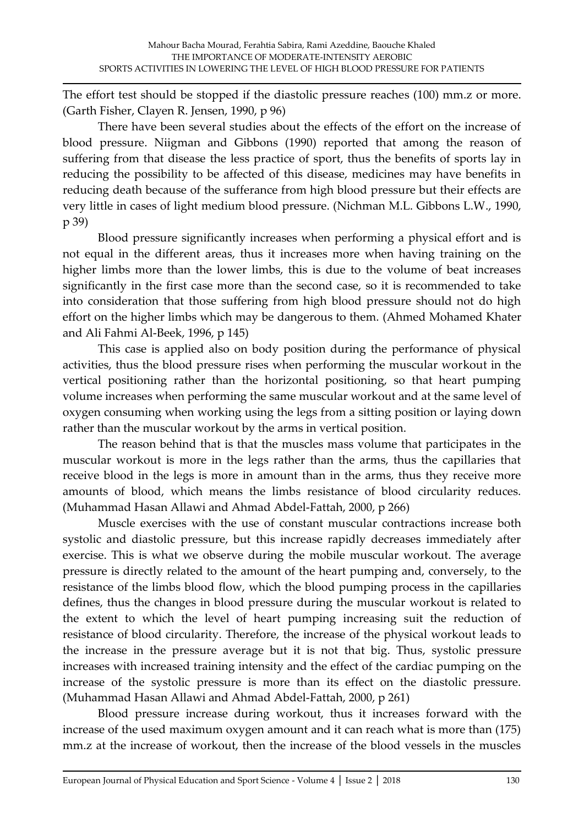The effort test should be stopped if the diastolic pressure reaches (100) mm.z or more. (Garth Fisher, Clayen R. Jensen, 1990, p 96)

There have been several studies about the effects of the effort on the increase of blood pressure. Niigman and Gibbons (1990) reported that among the reason of suffering from that disease the less practice of sport, thus the benefits of sports lay in reducing the possibility to be affected of this disease, medicines may have benefits in reducing death because of the sufferance from high blood pressure but their effects are very little in cases of light medium blood pressure. (Nichman M.L. Gibbons L.W., 1990, p 39)

Blood pressure significantly increases when performing a physical effort and is not equal in the different areas, thus it increases more when having training on the higher limbs more than the lower limbs, this is due to the volume of beat increases significantly in the first case more than the second case, so it is recommended to take into consideration that those suffering from high blood pressure should not do high effort on the higher limbs which may be dangerous to them. (Ahmed Mohamed Khater and Ali Fahmi Al-Beek, 1996, p 145)

This case is applied also on body position during the performance of physical activities, thus the blood pressure rises when performing the muscular workout in the vertical positioning rather than the horizontal positioning, so that heart pumping volume increases when performing the same muscular workout and at the same level of oxygen consuming when working using the legs from a sitting position or laying down rather than the muscular workout by the arms in vertical position.

The reason behind that is that the muscles mass volume that participates in the muscular workout is more in the legs rather than the arms, thus the capillaries that receive blood in the legs is more in amount than in the arms, thus they receive more amounts of blood, which means the limbs resistance of blood circularity reduces. (Muhammad Hasan Allawi and Ahmad Abdel-Fattah, 2000, p 266)

Muscle exercises with the use of constant muscular contractions increase both systolic and diastolic pressure, but this increase rapidly decreases immediately after exercise. This is what we observe during the mobile muscular workout. The average pressure is directly related to the amount of the heart pumping and, conversely, to the resistance of the limbs blood flow, which the blood pumping process in the capillaries defines, thus the changes in blood pressure during the muscular workout is related to the extent to which the level of heart pumping increasing suit the reduction of resistance of blood circularity. Therefore, the increase of the physical workout leads to the increase in the pressure average but it is not that big. Thus, systolic pressure increases with increased training intensity and the effect of the cardiac pumping on the increase of the systolic pressure is more than its effect on the diastolic pressure. (Muhammad Hasan Allawi and Ahmad Abdel-Fattah, 2000, p 261)

Blood pressure increase during workout, thus it increases forward with the increase of the used maximum oxygen amount and it can reach what is more than (175) mm.z at the increase of workout, then the increase of the blood vessels in the muscles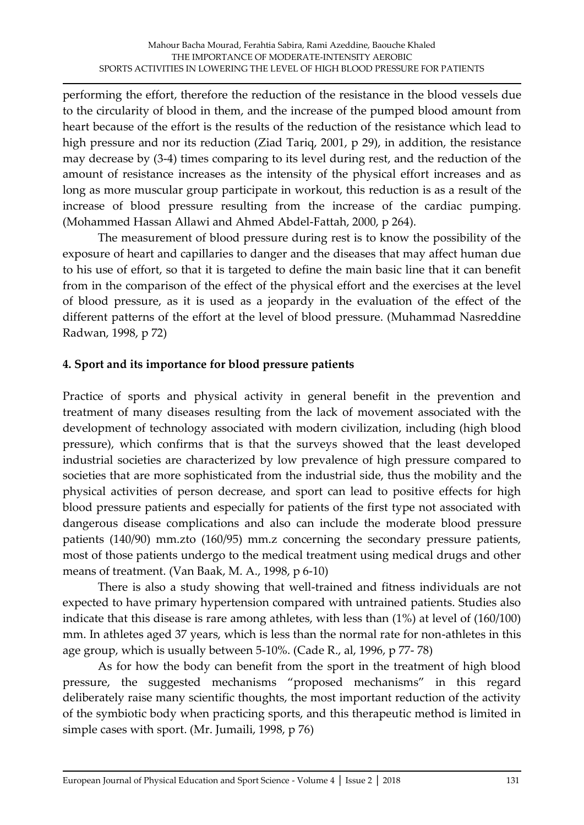performing the effort, therefore the reduction of the resistance in the blood vessels due to the circularity of blood in them, and the increase of the pumped blood amount from heart because of the effort is the results of the reduction of the resistance which lead to high pressure and nor its reduction (Ziad Tariq, 2001, p 29), in addition, the resistance may decrease by (3-4) times comparing to its level during rest, and the reduction of the amount of resistance increases as the intensity of the physical effort increases and as long as more muscular group participate in workout, this reduction is as a result of the increase of blood pressure resulting from the increase of the cardiac pumping. (Mohammed Hassan Allawi and Ahmed Abdel-Fattah, 2000, p 264).

The measurement of blood pressure during rest is to know the possibility of the exposure of heart and capillaries to danger and the diseases that may affect human due to his use of effort, so that it is targeted to define the main basic line that it can benefit from in the comparison of the effect of the physical effort and the exercises at the level of blood pressure, as it is used as a jeopardy in the evaluation of the effect of the different patterns of the effort at the level of blood pressure. (Muhammad Nasreddine Radwan, 1998, p 72)

### **4. Sport and its importance for blood pressure patients**

Practice of sports and physical activity in general benefit in the prevention and treatment of many diseases resulting from the lack of movement associated with the development of technology associated with modern civilization, including (high blood pressure), which confirms that is that the surveys showed that the least developed industrial societies are characterized by low prevalence of high pressure compared to societies that are more sophisticated from the industrial side, thus the mobility and the physical activities of person decrease, and sport can lead to positive effects for high blood pressure patients and especially for patients of the first type not associated with dangerous disease complications and also can include the moderate blood pressure patients (140/90) mm.zto (160/95) mm.z concerning the secondary pressure patients, most of those patients undergo to the medical treatment using medical drugs and other means of treatment. (Van Baak, M. A., 1998, p 6-10)

There is also a study showing that well-trained and fitness individuals are not expected to have primary hypertension compared with untrained patients. Studies also indicate that this disease is rare among athletes, with less than (1%) at level of (160/100) mm. In athletes aged 37 years, which is less than the normal rate for non-athletes in this age group, which is usually between 5-10%. (Cade R., al, 1996, p 77- 78)

As for how the body can benefit from the sport in the treatment of high blood pressure, the suggested mechanisms 'proposed mechanisms' in this regard deliberately raise many scientific thoughts, the most important reduction of the activity of the symbiotic body when practicing sports, and this therapeutic method is limited in simple cases with sport. (Mr. Jumaili, 1998, p 76)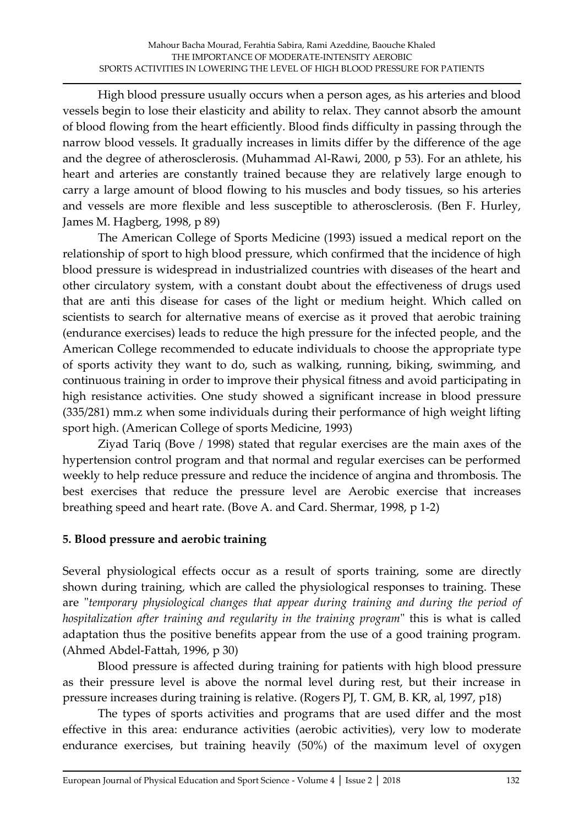High blood pressure usually occurs when a person ages, as his arteries and blood vessels begin to lose their elasticity and ability to relax. They cannot absorb the amount of blood flowing from the heart efficiently. Blood finds difficulty in passing through the narrow blood vessels. It gradually increases in limits differ by the difference of the age and the degree of atherosclerosis. (Muhammad Al-Rawi, 2000, p 53). For an athlete, his heart and arteries are constantly trained because they are relatively large enough to carry a large amount of blood flowing to his muscles and body tissues, so his arteries and vessels are more flexible and less susceptible to atherosclerosis. (Ben F. Hurley, James M. Hagberg, 1998, p 89)

The American College of Sports Medicine (1993) issued a medical report on the relationship of sport to high blood pressure, which confirmed that the incidence of high blood pressure is widespread in industrialized countries with diseases of the heart and other circulatory system, with a constant doubt about the effectiveness of drugs used that are anti this disease for cases of the light or medium height. Which called on scientists to search for alternative means of exercise as it proved that aerobic training (endurance exercises) leads to reduce the high pressure for the infected people, and the American College recommended to educate individuals to choose the appropriate type of sports activity they want to do, such as walking, running, biking, swimming, and continuous training in order to improve their physical fitness and avoid participating in high resistance activities. One study showed a significant increase in blood pressure (335/281) mm.z when some individuals during their performance of high weight lifting sport high. (American College of sports Medicine, 1993)

Ziyad Tariq (Bove / 1998) stated that regular exercises are the main axes of the hypertension control program and that normal and regular exercises can be performed weekly to help reduce pressure and reduce the incidence of angina and thrombosis. The best exercises that reduce the pressure level are Aerobic exercise that increases breathing speed and heart rate. (Bove A. and Card. Shermar, 1998, p 1-2)

# **5. Blood pressure and aerobic training**

Several physiological effects occur as a result of sports training, some are directly shown during training, which are called the physiological responses to training. These are "*temporary physiological changes that appear during training and during the period of hospitalization after training and regularity in the training program*" this is what is called adaptation thus the positive benefits appear from the use of a good training program. (Ahmed Abdel-Fattah, 1996, p 30)

Blood pressure is affected during training for patients with high blood pressure as their pressure level is above the normal level during rest, but their increase in pressure increases during training is relative. (Rogers PJ, T. GM, B. KR, al, 1997, p18)

The types of sports activities and programs that are used differ and the most effective in this area: endurance activities (aerobic activities), very low to moderate endurance exercises, but training heavily (50%) of the maximum level of oxygen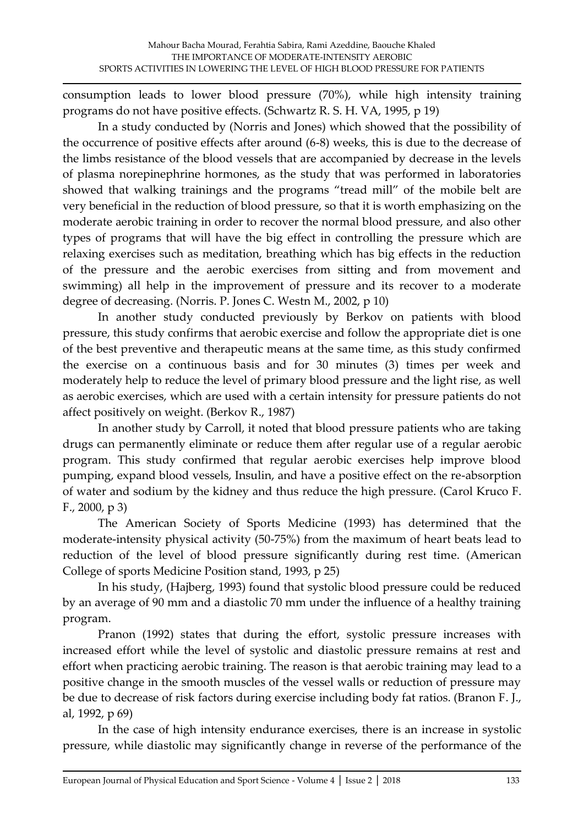consumption leads to lower blood pressure (70%), while high intensity training programs do not have positive effects. (Schwartz R. S. H. VA, 1995, p 19)

In a study conducted by (Norris and Jones) which showed that the possibility of the occurrence of positive effects after around (6-8) weeks, this is due to the decrease of the limbs resistance of the blood vessels that are accompanied by decrease in the levels of plasma norepinephrine hormones, as the study that was performed in laboratories showed that walking trainings and the programs 'tread mill' of the mobile belt are very beneficial in the reduction of blood pressure, so that it is worth emphasizing on the moderate aerobic training in order to recover the normal blood pressure, and also other types of programs that will have the big effect in controlling the pressure which are relaxing exercises such as meditation, breathing which has big effects in the reduction of the pressure and the aerobic exercises from sitting and from movement and swimming) all help in the improvement of pressure and its recover to a moderate degree of decreasing. (Norris. P. Jones C. Westn M., 2002, p 10)

In another study conducted previously by Berkov on patients with blood pressure, this study confirms that aerobic exercise and follow the appropriate diet is one of the best preventive and therapeutic means at the same time, as this study confirmed the exercise on a continuous basis and for 30 minutes (3) times per week and moderately help to reduce the level of primary blood pressure and the light rise, as well as aerobic exercises, which are used with a certain intensity for pressure patients do not affect positively on weight. (Berkov R., 1987)

In another study by Carroll, it noted that blood pressure patients who are taking drugs can permanently eliminate or reduce them after regular use of a regular aerobic program. This study confirmed that regular aerobic exercises help improve blood pumping, expand blood vessels, Insulin, and have a positive effect on the re-absorption of water and sodium by the kidney and thus reduce the high pressure. (Carol Kruco F. F., 2000, p 3)

The American Society of Sports Medicine (1993) has determined that the moderate-intensity physical activity (50-75%) from the maximum of heart beats lead to reduction of the level of blood pressure significantly during rest time. (American College of sports Medicine Position stand, 1993, p 25)

In his study, (Hajberg, 1993) found that systolic blood pressure could be reduced by an average of 90 mm and a diastolic 70 mm under the influence of a healthy training program.

Pranon (1992) states that during the effort, systolic pressure increases with increased effort while the level of systolic and diastolic pressure remains at rest and effort when practicing aerobic training. The reason is that aerobic training may lead to a positive change in the smooth muscles of the vessel walls or reduction of pressure may be due to decrease of risk factors during exercise including body fat ratios. (Branon F. J., al, 1992, p 69)

In the case of high intensity endurance exercises, there is an increase in systolic pressure, while diastolic may significantly change in reverse of the performance of the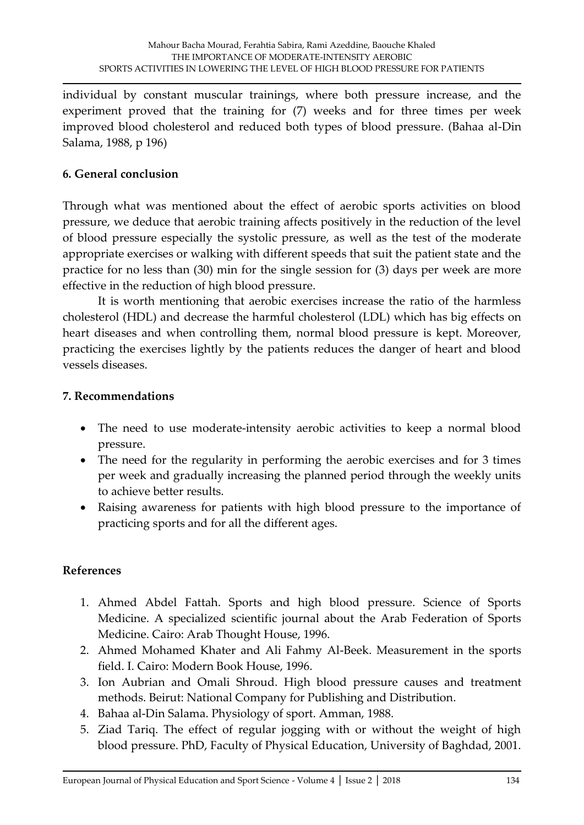individual by constant muscular trainings, where both pressure increase, and the experiment proved that the training for (7) weeks and for three times per week improved blood cholesterol and reduced both types of blood pressure. (Bahaa al-Din Salama, 1988, p 196)

### **6. General conclusion**

Through what was mentioned about the effect of aerobic sports activities on blood pressure, we deduce that aerobic training affects positively in the reduction of the level of blood pressure especially the systolic pressure, as well as the test of the moderate appropriate exercises or walking with different speeds that suit the patient state and the practice for no less than (30) min for the single session for (3) days per week are more effective in the reduction of high blood pressure.

It is worth mentioning that aerobic exercises increase the ratio of the harmless cholesterol (HDL) and decrease the harmful cholesterol (LDL) which has big effects on heart diseases and when controlling them, normal blood pressure is kept. Moreover, practicing the exercises lightly by the patients reduces the danger of heart and blood vessels diseases.

### **7. Recommendations**

- The need to use moderate-intensity aerobic activities to keep a normal blood pressure.
- The need for the regularity in performing the aerobic exercises and for 3 times per week and gradually increasing the planned period through the weekly units to achieve better results.
- Raising awareness for patients with high blood pressure to the importance of practicing sports and for all the different ages.

## **References**

- 1. Ahmed Abdel Fattah. Sports and high blood pressure. Science of Sports Medicine. A specialized scientific journal about the Arab Federation of Sports Medicine. Cairo: Arab Thought House, 1996.
- 2. Ahmed Mohamed Khater and Ali Fahmy Al-Beek. Measurement in the sports field. I. Cairo: Modern Book House, 1996.
- 3. Ion Aubrian and Omali Shroud. High blood pressure causes and treatment methods. Beirut: National Company for Publishing and Distribution.
- 4. Bahaa al-Din Salama. Physiology of sport. Amman, 1988.
- 5. Ziad Tariq. The effect of regular jogging with or without the weight of high blood pressure. PhD, Faculty of Physical Education, University of Baghdad, 2001.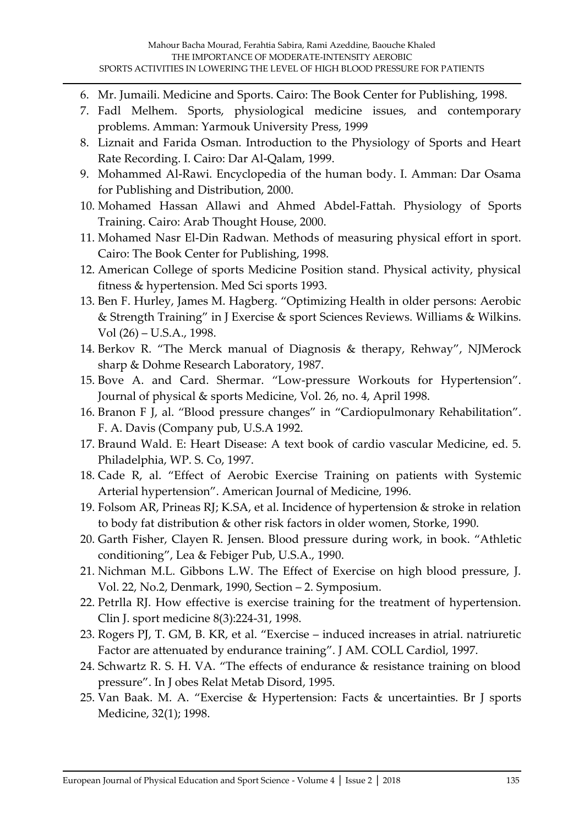- 6. Mr. Jumaili. Medicine and Sports. Cairo: The Book Center for Publishing, 1998.
- 7. Fadl Melhem. Sports, physiological medicine issues, and contemporary problems. Amman: Yarmouk University Press, 1999
- 8. Liznait and Farida Osman. Introduction to the Physiology of Sports and Heart Rate Recording. I. Cairo: Dar Al-Qalam, 1999.
- 9. Mohammed Al-Rawi. Encyclopedia of the human body. I. Amman: Dar Osama for Publishing and Distribution, 2000.
- 10. Mohamed Hassan Allawi and Ahmed Abdel-Fattah. Physiology of Sports Training. Cairo: Arab Thought House, 2000.
- 11. Mohamed Nasr El-Din Radwan. Methods of measuring physical effort in sport. Cairo: The Book Center for Publishing, 1998.
- 12. American College of sports Medicine Position stand. Physical activity, physical fitness & hypertension. Med Sci sports 1993.
- 13. Ben F. Hurley, James M. Hagberg. 'Optimizing Health in older persons: Aerobic & Strength Training' in J Exercise & sport Sciences Reviews. Williams & Wilkins. Vol (26) – U.S.A., 1998.
- 14. Berkov R. 'The Merck manual of Diagnosis & therapy, Rehway', NJMerock sharp & Dohme Research Laboratory, 1987.
- 15. Bove A. and Card. Shermar. 'Low-pressure Workouts for Hypertension'. Journal of physical & sports Medicine, Vol. 26, no. 4, April 1998.
- 16. Branon F J, al. 'Blood pressure changes' in 'Cardiopulmonary Rehabilitation'. F. A. Davis (Company pub, U.S.A 1992.
- 17. Braund Wald. E: Heart Disease: A text book of cardio vascular Medicine, ed. 5. Philadelphia, WP. S. Co, 1997.
- 18. Cade R, al. 'Effect of Aerobic Exercise Training on patients with Systemic Arterial hypertension'. American Journal of Medicine, 1996.
- 19. Folsom AR, Prineas RJ; K.SA, et al. Incidence of hypertension & stroke in relation to body fat distribution & other risk factors in older women, Storke, 1990.
- 20. Garth Fisher, Clayen R. Jensen. Blood pressure during work, in book. 'Athletic conditioning', Lea & Febiger Pub, U.S.A., 1990.
- 21. Nichman M.L. Gibbons L.W. The Effect of Exercise on high blood pressure, J. Vol. 22, No.2, Denmark, 1990, Section – 2. Symposium.
- 22. Petrlla RJ. How effective is exercise training for the treatment of hypertension. Clin J. sport medicine 8(3):224-31, 1998.
- 23. Rogers PJ, T. GM, B. KR, et al. 'Exercise induced increases in atrial. natriuretic Factor are attenuated by endurance training'. J AM. COLL Cardiol, 1997.
- 24. Schwartz R. S. H. VA. 'The effects of endurance & resistance training on blood pressure'. In J obes Relat Metab Disord, 1995.
- 25. Van Baak. M. A. 'Exercise & Hypertension: Facts & uncertainties. Br J sports Medicine, 32(1); 1998.